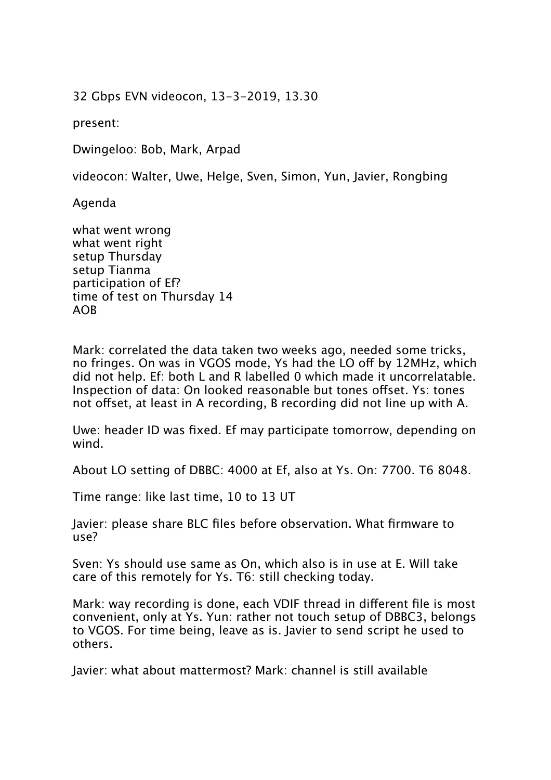32 Gbps EVN videocon, 13-3-2019, 13.30

present:

Dwingeloo: Bob, Mark, Arpad

videocon: Walter, Uwe, Helge, Sven, Simon, Yun, Javier, Rongbing

Agenda

what went wrong what went right setup Thursday setup Tianma participation of Ef? time of test on Thursday 14 AOB

Mark: correlated the data taken two weeks ago, needed some tricks, no fringes. On was in VGOS mode, Ys had the LO off by 12MHz, which did not help. Ef: both L and R labelled 0 which made it uncorrelatable. Inspection of data: On looked reasonable but tones offset. Ys: tones not offset, at least in A recording, B recording did not line up with A.

Uwe: header ID was fixed. Ef may participate tomorrow, depending on wind.

About LO setting of DBBC: 4000 at Ef, also at Ys. On: 7700. T6 8048.

Time range: like last time, 10 to 13 UT

Javier: please share BLC files before observation. What firmware to use?

Sven: Ys should use same as On, which also is in use at E. Will take care of this remotely for Ys. T6: still checking today.

Mark: way recording is done, each VDIF thread in diferent file is most convenient, only at Ys. Yun: rather not touch setup of DBBC3, belongs to VGOS. For time being, leave as is. Javier to send script he used to others.

Javier: what about mattermost? Mark: channel is still available